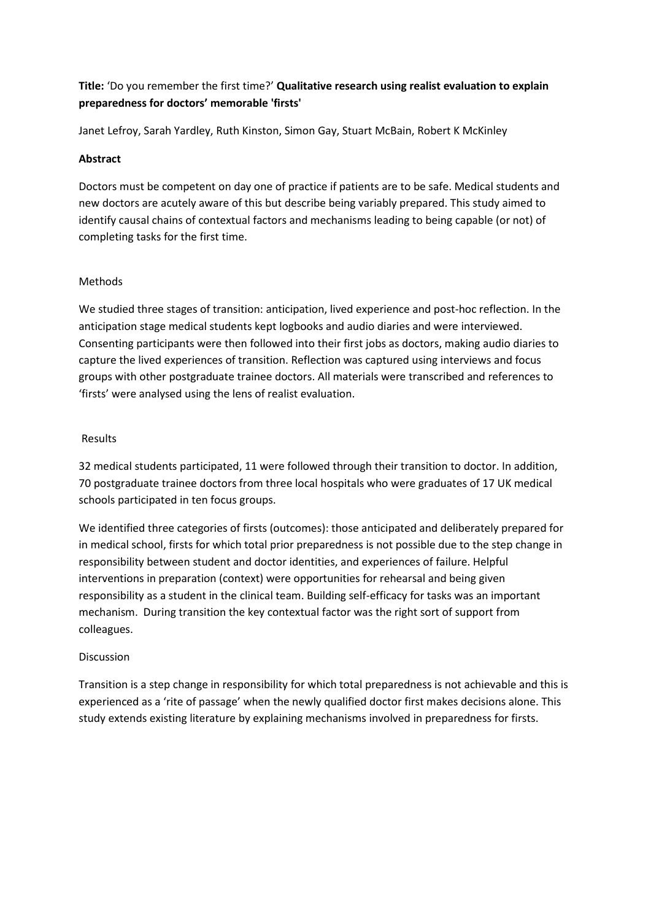# **Title:** 'Do you remember the first time?' **Qualitative research using realist evaluation to explain preparedness for doctors' memorable 'firsts'**

Janet Lefroy, Sarah Yardley, Ruth Kinston, Simon Gay, Stuart McBain, Robert K McKinley

## **Abstract**

Doctors must be competent on day one of practice if patients are to be safe. Medical students and new doctors are acutely aware of this but describe being variably prepared. This study aimed to identify causal chains of contextual factors and mechanisms leading to being capable (or not) of completing tasks for the first time.

# Methods

We studied three stages of transition: anticipation, lived experience and post-hoc reflection. In the anticipation stage medical students kept logbooks and audio diaries and were interviewed. Consenting participants were then followed into their first jobs as doctors, making audio diaries to capture the lived experiences of transition. Reflection was captured using interviews and focus groups with other postgraduate trainee doctors. All materials were transcribed and references to 'firsts' were analysed using the lens of realist evaluation.

# Results

32 medical students participated, 11 were followed through their transition to doctor. In addition, 70 postgraduate trainee doctors from three local hospitals who were graduates of 17 UK medical schools participated in ten focus groups.

We identified three categories of firsts (outcomes): those anticipated and deliberately prepared for in medical school, firsts for which total prior preparedness is not possible due to the step change in responsibility between student and doctor identities, and experiences of failure. Helpful interventions in preparation (context) were opportunities for rehearsal and being given responsibility as a student in the clinical team. Building self-efficacy for tasks was an important mechanism. During transition the key contextual factor was the right sort of support from colleagues.

# Discussion

Transition is a step change in responsibility for which total preparedness is not achievable and this is experienced as a 'rite of passage' when the newly qualified doctor first makes decisions alone. This study extends existing literature by explaining mechanisms involved in preparedness for firsts.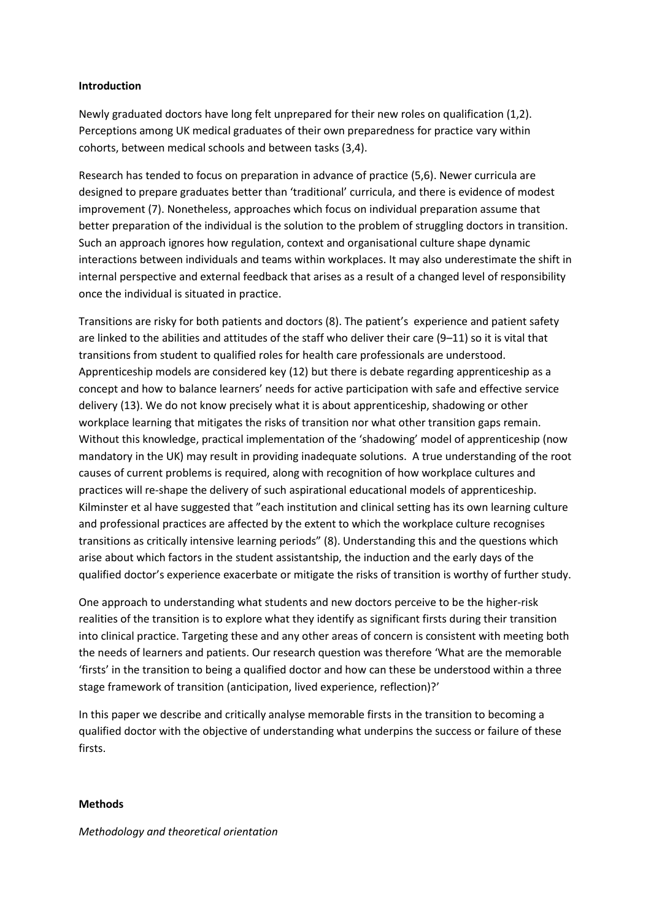#### **Introduction**

Newly graduated doctors have long felt unprepared for their new roles on qualification (1,2). Perceptions among UK medical graduates of their own preparedness for practice vary within cohorts, between medical schools and between tasks (3,4).

Research has tended to focus on preparation in advance of practice (5,6). Newer curricula are designed to prepare graduates better than 'traditional' curricula, and there is evidence of modest improvement (7). Nonetheless, approaches which focus on individual preparation assume that better preparation of the individual is the solution to the problem of struggling doctors in transition. Such an approach ignores how regulation, context and organisational culture shape dynamic interactions between individuals and teams within workplaces. It may also underestimate the shift in internal perspective and external feedback that arises as a result of a changed level of responsibility once the individual is situated in practice.

Transitions are risky for both patients and doctors (8). The patient's experience and patient safety are linked to the abilities and attitudes of the staff who deliver their care (9–11) so it is vital that transitions from student to qualified roles for health care professionals are understood. Apprenticeship models are considered key (12) but there is debate regarding apprenticeship as a concept and how to balance learners' needs for active participation with safe and effective service delivery (13). We do not know precisely what it is about apprenticeship, shadowing or other workplace learning that mitigates the risks of transition nor what other transition gaps remain. Without this knowledge, practical implementation of the 'shadowing' model of apprenticeship (now mandatory in the UK) may result in providing inadequate solutions. A true understanding of the root causes of current problems is required, along with recognition of how workplace cultures and practices will re-shape the delivery of such aspirational educational models of apprenticeship. Kilminster et al have suggested that "each institution and clinical setting has its own learning culture and professional practices are affected by the extent to which the workplace culture recognises transitions as critically intensive learning periods" (8). Understanding this and the questions which arise about which factors in the student assistantship, the induction and the early days of the qualified doctor's experience exacerbate or mitigate the risks of transition is worthy of further study.

One approach to understanding what students and new doctors perceive to be the higher-risk realities of the transition is to explore what they identify as significant firsts during their transition into clinical practice. Targeting these and any other areas of concern is consistent with meeting both the needs of learners and patients. Our research question was therefore 'What are the memorable 'firsts' in the transition to being a qualified doctor and how can these be understood within a three stage framework of transition (anticipation, lived experience, reflection)?'

In this paper we describe and critically analyse memorable firsts in the transition to becoming a qualified doctor with the objective of understanding what underpins the success or failure of these firsts.

#### **Methods**

#### *Methodology and theoretical orientation*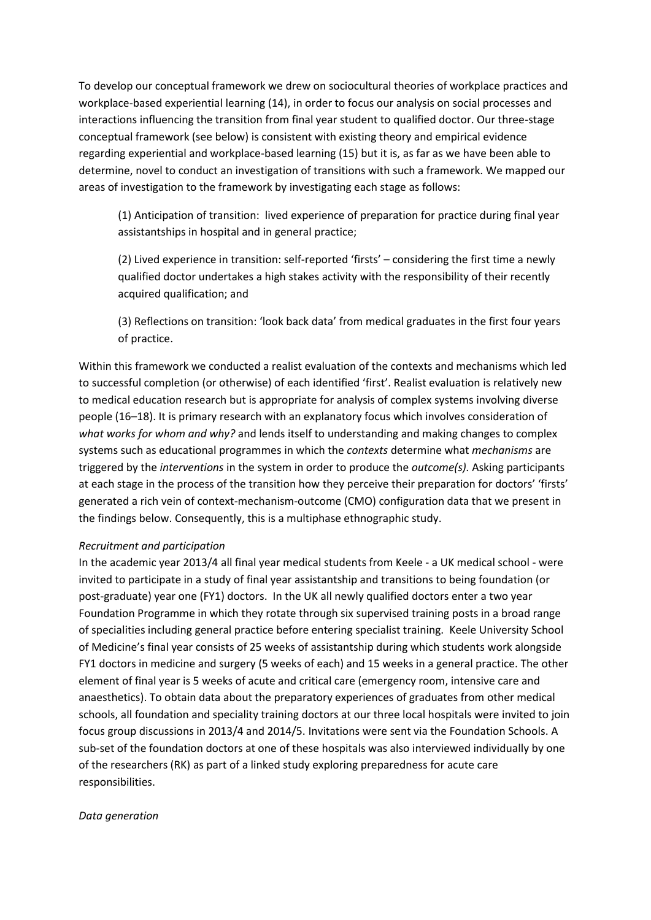To develop our conceptual framework we drew on sociocultural theories of workplace practices and workplace-based experiential learning (14), in order to focus our analysis on social processes and interactions influencing the transition from final year student to qualified doctor. Our three-stage conceptual framework (see below) is consistent with existing theory and empirical evidence regarding experiential and workplace-based learning (15) but it is, as far as we have been able to determine, novel to conduct an investigation of transitions with such a framework. We mapped our areas of investigation to the framework by investigating each stage as follows:

(1) Anticipation of transition: lived experience of preparation for practice during final year assistantships in hospital and in general practice;

(2) Lived experience in transition: self-reported 'firsts' – considering the first time a newly qualified doctor undertakes a high stakes activity with the responsibility of their recently acquired qualification; and

(3) Reflections on transition: 'look back data' from medical graduates in the first four years of practice.

Within this framework we conducted a realist evaluation of the contexts and mechanisms which led to successful completion (or otherwise) of each identified 'first'. Realist evaluation is relatively new to medical education research but is appropriate for analysis of complex systems involving diverse people (16–18). It is primary research with an explanatory focus which involves consideration of *what works for whom and why?* and lends itself to understanding and making changes to complex systems such as educational programmes in which the *contexts* determine what *mechanisms* are triggered by the *interventions* in the system in order to produce the *outcome(s).* Asking participants at each stage in the process of the transition how they perceive their preparation for doctors' 'firsts' generated a rich vein of context-mechanism-outcome (CMO) configuration data that we present in the findings below. Consequently, this is a multiphase ethnographic study.

## *Recruitment and participation*

In the academic year 2013/4 all final year medical students from Keele - a UK medical school - were invited to participate in a study of final year assistantship and transitions to being foundation (or post-graduate) year one (FY1) doctors. In the UK all newly qualified doctors enter a two year Foundation Programme in which they rotate through six supervised training posts in a broad range of specialities including general practice before entering specialist training. Keele University School of Medicine's final year consists of 25 weeks of assistantship during which students work alongside FY1 doctors in medicine and surgery (5 weeks of each) and 15 weeks in a general practice. The other element of final year is 5 weeks of acute and critical care (emergency room, intensive care and anaesthetics). To obtain data about the preparatory experiences of graduates from other medical schools, all foundation and speciality training doctors at our three local hospitals were invited to join focus group discussions in 2013/4 and 2014/5. Invitations were sent via the Foundation Schools. A sub-set of the foundation doctors at one of these hospitals was also interviewed individually by one of the researchers (RK) as part of a linked study exploring preparedness for acute care responsibilities.

#### *Data generation*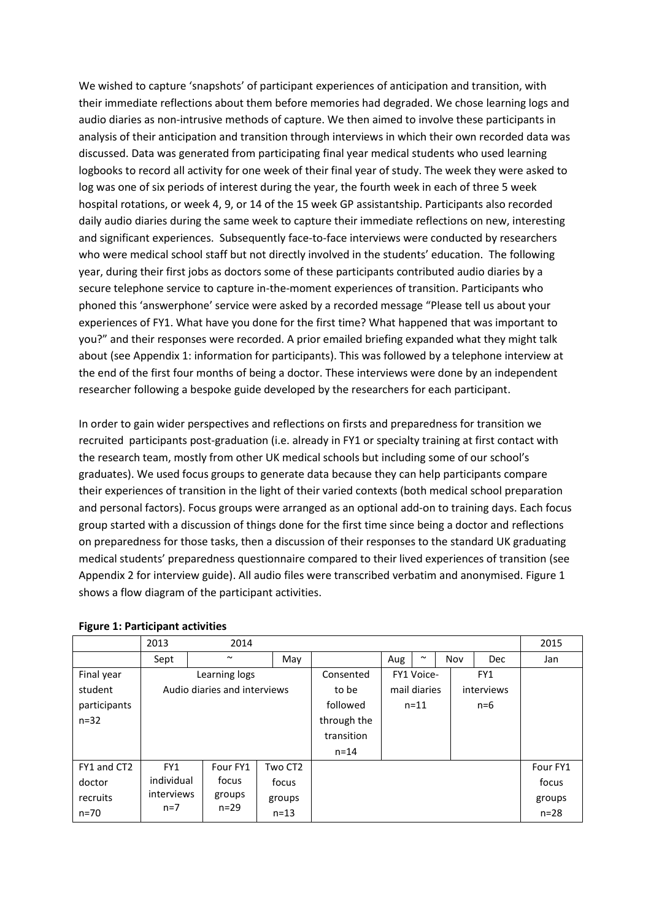We wished to capture 'snapshots' of participant experiences of anticipation and transition, with their immediate reflections about them before memories had degraded. We chose learning logs and audio diaries as non-intrusive methods of capture. We then aimed to involve these participants in analysis of their anticipation and transition through interviews in which their own recorded data was discussed. Data was generated from participating final year medical students who used learning logbooks to record all activity for one week of their final year of study. The week they were asked to log was one of six periods of interest during the year, the fourth week in each of three 5 week hospital rotations, or week 4, 9, or 14 of the 15 week GP assistantship. Participants also recorded daily audio diaries during the same week to capture their immediate reflections on new, interesting and significant experiences. Subsequently face-to-face interviews were conducted by researchers who were medical school staff but not directly involved in the students' education. The following year, during their first jobs as doctors some of these participants contributed audio diaries by a secure telephone service to capture in-the-moment experiences of transition. Participants who phoned this 'answerphone' service were asked by a recorded message "Please tell us about your experiences of FY1. What have you done for the first time? What happened that was important to you?" and their responses were recorded. A prior emailed briefing expanded what they might talk about (see Appendix 1: information for participants). This was followed by a telephone interview at the end of the first four months of being a doctor. These interviews were done by an independent researcher following a bespoke guide developed by the researchers for each participant.

In order to gain wider perspectives and reflections on firsts and preparedness for transition we recruited participants post-graduation (i.e. already in FY1 or specialty training at first contact with the research team, mostly from other UK medical schools but including some of our school's graduates). We used focus groups to generate data because they can help participants compare their experiences of transition in the light of their varied contexts (both medical school preparation and personal factors). Focus groups were arranged as an optional add-on to training days. Each focus group started with a discussion of things done for the first time since being a doctor and reflections on preparedness for those tasks, then a discussion of their responses to the standard UK graduating medical students' preparedness questionnaire compared to their lived experiences of transition (see Appendix 2 for interview guide). All audio files were transcribed verbatim and anonymised. Figure 1 shows a flow diagram of the participant activities.

|              | 2013                         | 2014     |          |             |                   |          |     |            | 2015     |
|--------------|------------------------------|----------|----------|-------------|-------------------|----------|-----|------------|----------|
|              | Sept                         | $\sim$   | May      |             | Aug               | $\sim$   | Nov | <b>Dec</b> | Jan      |
| Final year   | Learning logs                |          |          | Consented   | FY1 Voice-<br>FY1 |          |     |            |          |
| student      | Audio diaries and interviews |          |          | to be       | mail diaries      |          |     | interviews |          |
| participants |                              |          |          | followed    |                   | $n = 11$ |     | $n=6$      |          |
| $n = 32$     |                              |          |          | through the |                   |          |     |            |          |
|              |                              |          |          | transition  |                   |          |     |            |          |
|              |                              |          |          | $n = 14$    |                   |          |     |            |          |
| FY1 and CT2  | FY1                          | Four FY1 | Two CT2  |             |                   |          |     |            | Four FY1 |
| doctor       | individual                   | focus    | focus    |             |                   |          |     |            | focus    |
| recruits     | interviews                   | groups   | groups   |             |                   |          |     |            | groups   |
| n=70         | $n=7$                        | $n = 29$ | $n = 13$ |             |                   |          |     |            | $n = 28$ |

## **Figure 1: Participant activities**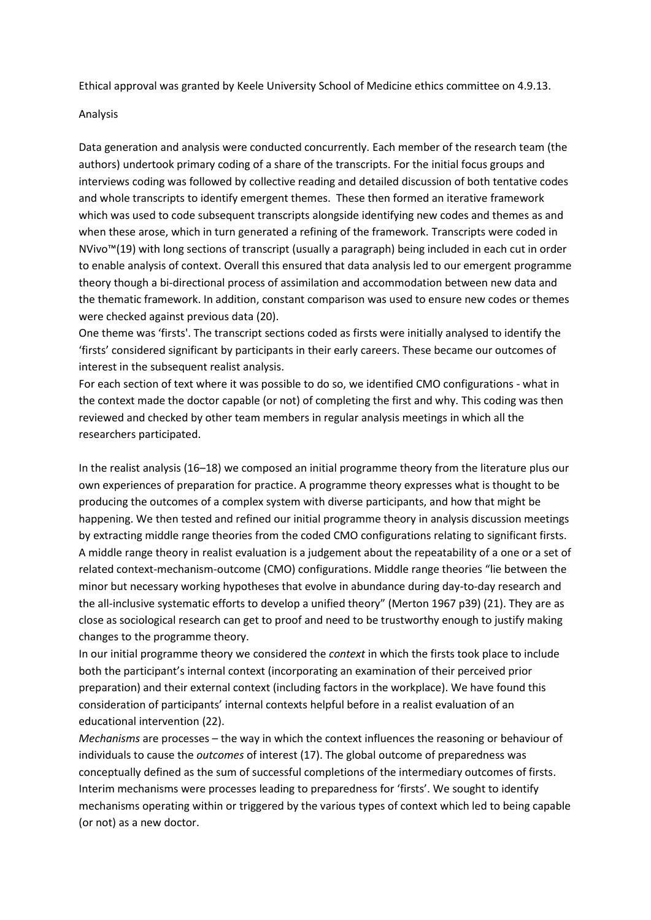Ethical approval was granted by Keele University School of Medicine ethics committee on 4.9.13.

#### Analysis

Data generation and analysis were conducted concurrently. Each member of the research team (the authors) undertook primary coding of a share of the transcripts. For the initial focus groups and interviews coding was followed by collective reading and detailed discussion of both tentative codes and whole transcripts to identify emergent themes. These then formed an iterative framework which was used to code subsequent transcripts alongside identifying new codes and themes as and when these arose, which in turn generated a refining of the framework. Transcripts were coded in NVivo™(19) with long sections of transcript (usually a paragraph) being included in each cut in order to enable analysis of context. Overall this ensured that data analysis led to our emergent programme theory though a bi-directional process of assimilation and accommodation between new data and the thematic framework. In addition, constant comparison was used to ensure new codes or themes were checked against previous data (20).

One theme was 'firsts'. The transcript sections coded as firsts were initially analysed to identify the 'firsts' considered significant by participants in their early careers. These became our outcomes of interest in the subsequent realist analysis.

For each section of text where it was possible to do so, we identified CMO configurations - what in the context made the doctor capable (or not) of completing the first and why. This coding was then reviewed and checked by other team members in regular analysis meetings in which all the researchers participated.

In the realist analysis (16–18) we composed an initial programme theory from the literature plus our own experiences of preparation for practice. A programme theory expresses what is thought to be producing the outcomes of a complex system with diverse participants, and how that might be happening. We then tested and refined our initial programme theory in analysis discussion meetings by extracting middle range theories from the coded CMO configurations relating to significant firsts. A middle range theory in realist evaluation is a judgement about the repeatability of a one or a set of related context-mechanism-outcome (CMO) configurations. Middle range theories "lie between the minor but necessary working hypotheses that evolve in abundance during day-to-day research and the all-inclusive systematic efforts to develop a unified theory" (Merton 1967 p39) (21). They are as close as sociological research can get to proof and need to be trustworthy enough to justify making changes to the programme theory.

In our initial programme theory we considered the *context* in which the firsts took place to include both the participant's internal context (incorporating an examination of their perceived prior preparation) and their external context (including factors in the workplace). We have found this consideration of participants' internal contexts helpful before in a realist evaluation of an educational intervention (22).

*Mechanisms* are processes – the way in which the context influences the reasoning or behaviour of individuals to cause the *outcomes* of interest (17). The global outcome of preparedness was conceptually defined as the sum of successful completions of the intermediary outcomes of firsts. Interim mechanisms were processes leading to preparedness for 'firsts'. We sought to identify mechanisms operating within or triggered by the various types of context which led to being capable (or not) as a new doctor.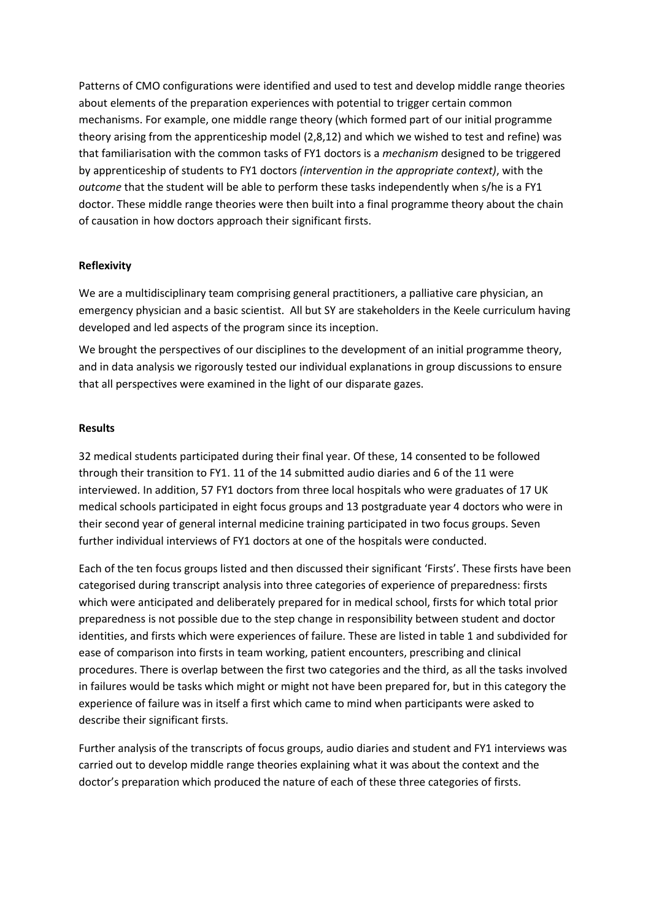Patterns of CMO configurations were identified and used to test and develop middle range theories about elements of the preparation experiences with potential to trigger certain common mechanisms. For example, one middle range theory (which formed part of our initial programme theory arising from the apprenticeship model (2,8,12) and which we wished to test and refine) was that familiarisation with the common tasks of FY1 doctors is a *mechanism* designed to be triggered by apprenticeship of students to FY1 doctors *(intervention in the appropriate context)*, with the *outcome* that the student will be able to perform these tasks independently when s/he is a FY1 doctor. These middle range theories were then built into a final programme theory about the chain of causation in how doctors approach their significant firsts.

# **Reflexivity**

We are a multidisciplinary team comprising general practitioners, a palliative care physician, an emergency physician and a basic scientist. All but SY are stakeholders in the Keele curriculum having developed and led aspects of the program since its inception.

We brought the perspectives of our disciplines to the development of an initial programme theory, and in data analysis we rigorously tested our individual explanations in group discussions to ensure that all perspectives were examined in the light of our disparate gazes.

# **Results**

32 medical students participated during their final year. Of these, 14 consented to be followed through their transition to FY1. 11 of the 14 submitted audio diaries and 6 of the 11 were interviewed. In addition, 57 FY1 doctors from three local hospitals who were graduates of 17 UK medical schools participated in eight focus groups and 13 postgraduate year 4 doctors who were in their second year of general internal medicine training participated in two focus groups. Seven further individual interviews of FY1 doctors at one of the hospitals were conducted.

Each of the ten focus groups listed and then discussed their significant 'Firsts'. These firsts have been categorised during transcript analysis into three categories of experience of preparedness: firsts which were anticipated and deliberately prepared for in medical school, firsts for which total prior preparedness is not possible due to the step change in responsibility between student and doctor identities, and firsts which were experiences of failure. These are listed in table 1 and subdivided for ease of comparison into firsts in team working, patient encounters, prescribing and clinical procedures. There is overlap between the first two categories and the third, as all the tasks involved in failures would be tasks which might or might not have been prepared for, but in this category the experience of failure was in itself a first which came to mind when participants were asked to describe their significant firsts.

Further analysis of the transcripts of focus groups, audio diaries and student and FY1 interviews was carried out to develop middle range theories explaining what it was about the context and the doctor's preparation which produced the nature of each of these three categories of firsts.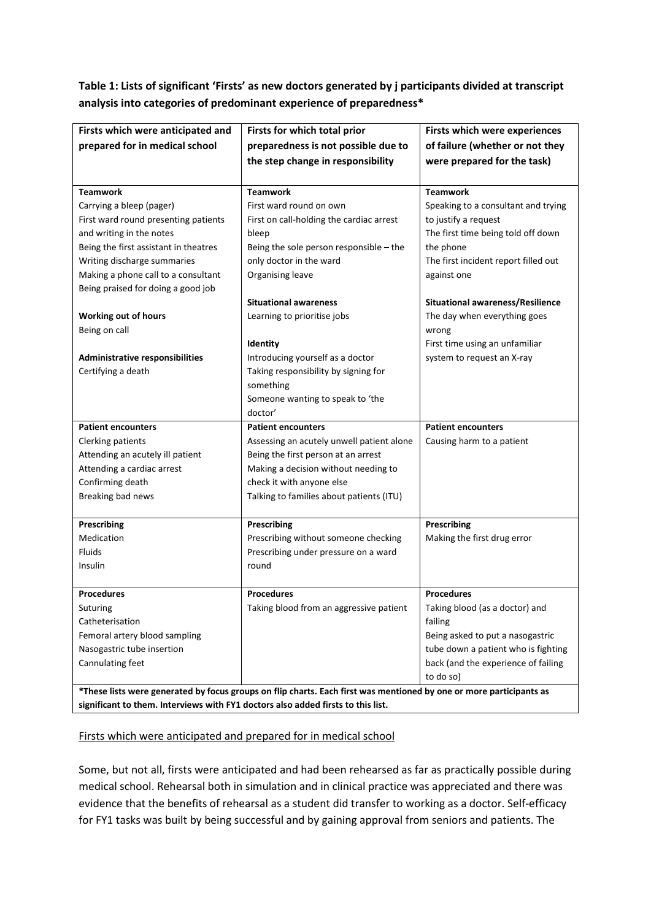# **Table 1: Lists of significant 'Firsts' as new doctors generated by j participants divided at transcript analysis into categories of predominant experience of preparedness\***

| Firsts which were anticipated and                                                                                   | Firsts for which total prior                  | Firsts which were experiences           |  |  |  |  |  |
|---------------------------------------------------------------------------------------------------------------------|-----------------------------------------------|-----------------------------------------|--|--|--|--|--|
| prepared for in medical school                                                                                      | preparedness is not possible due to           | of failure (whether or not they         |  |  |  |  |  |
|                                                                                                                     | the step change in responsibility             | were prepared for the task)             |  |  |  |  |  |
|                                                                                                                     |                                               |                                         |  |  |  |  |  |
| <b>Teamwork</b>                                                                                                     | <b>Teamwork</b>                               | <b>Teamwork</b>                         |  |  |  |  |  |
| Carrying a bleep (pager)                                                                                            | First ward round on own                       | Speaking to a consultant and trying     |  |  |  |  |  |
| First ward round presenting patients                                                                                | First on call-holding the cardiac arrest      | to justify a request                    |  |  |  |  |  |
| and writing in the notes                                                                                            | bleep                                         | The first time being told off down      |  |  |  |  |  |
| Being the first assistant in theatres                                                                               | Being the sole person responsible $-$ the     | the phone                               |  |  |  |  |  |
| Writing discharge summaries                                                                                         | only doctor in the ward                       | The first incident report filled out    |  |  |  |  |  |
| Making a phone call to a consultant                                                                                 | Organising leave                              | against one                             |  |  |  |  |  |
| Being praised for doing a good job                                                                                  |                                               |                                         |  |  |  |  |  |
|                                                                                                                     | <b>Situational awareness</b>                  | <b>Situational awareness/Resilience</b> |  |  |  |  |  |
| <b>Working out of hours</b>                                                                                         | Learning to prioritise jobs                   | The day when everything goes            |  |  |  |  |  |
| Being on call                                                                                                       |                                               | wrong                                   |  |  |  |  |  |
|                                                                                                                     | Identity                                      | First time using an unfamiliar          |  |  |  |  |  |
| Administrative responsibilities                                                                                     | Introducing yourself as a doctor              | system to request an X-ray              |  |  |  |  |  |
| Certifying a death                                                                                                  | Taking responsibility by signing for          |                                         |  |  |  |  |  |
|                                                                                                                     | something                                     |                                         |  |  |  |  |  |
|                                                                                                                     | Someone wanting to speak to 'the              |                                         |  |  |  |  |  |
|                                                                                                                     | doctor'                                       |                                         |  |  |  |  |  |
| <b>Patient encounters</b>                                                                                           | <b>Patient encounters</b>                     | <b>Patient encounters</b>               |  |  |  |  |  |
| Clerking patients                                                                                                   | Assessing an acutely unwell patient alone     | Causing harm to a patient               |  |  |  |  |  |
| Attending an acutely ill patient                                                                                    | Being the first person at an arrest           |                                         |  |  |  |  |  |
| Attending a cardiac arrest                                                                                          | Making a decision without needing to          |                                         |  |  |  |  |  |
| Confirming death                                                                                                    | check it with anyone else                     |                                         |  |  |  |  |  |
| Breaking bad news                                                                                                   | Talking to families about patients (ITU)      |                                         |  |  |  |  |  |
|                                                                                                                     |                                               |                                         |  |  |  |  |  |
| Prescribing                                                                                                         | <b>Prescribing</b>                            | <b>Prescribing</b>                      |  |  |  |  |  |
| Medication                                                                                                          | Prescribing without someone checking          | Making the first drug error             |  |  |  |  |  |
| <b>Fluids</b><br>Insulin                                                                                            | Prescribing under pressure on a ward<br>round |                                         |  |  |  |  |  |
|                                                                                                                     |                                               |                                         |  |  |  |  |  |
| <b>Procedures</b>                                                                                                   | <b>Procedures</b>                             | <b>Procedures</b>                       |  |  |  |  |  |
| Suturing                                                                                                            | Taking blood from an aggressive patient       | Taking blood (as a doctor) and          |  |  |  |  |  |
| Catheterisation                                                                                                     |                                               | failing                                 |  |  |  |  |  |
| Femoral artery blood sampling                                                                                       |                                               | Being asked to put a nasogastric        |  |  |  |  |  |
| Nasogastric tube insertion                                                                                          |                                               | tube down a patient who is fighting     |  |  |  |  |  |
| Cannulating feet                                                                                                    |                                               | back (and the experience of failing     |  |  |  |  |  |
|                                                                                                                     |                                               | to do so)                               |  |  |  |  |  |
| *These lists were generated by focus groups on flip charts. Each first was mentioned by one or more participants as |                                               |                                         |  |  |  |  |  |
| significant to them. Interviews with FY1 doctors also added firsts to this list.                                    |                                               |                                         |  |  |  |  |  |

# Firsts which were anticipated and prepared for in medical school

Some, but not all, firsts were anticipated and had been rehearsed as far as practically possible during medical school. Rehearsal both in simulation and in clinical practice was appreciated and there was evidence that the benefits of rehearsal as a student did transfer to working as a doctor. Self-efficacy for FY1 tasks was built by being successful and by gaining approval from seniors and patients. The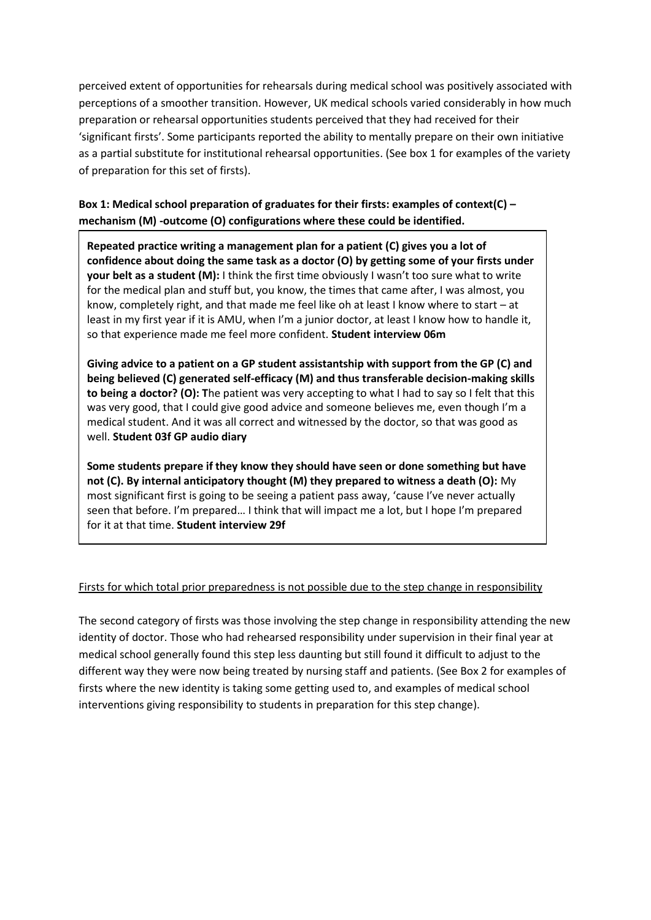perceived extent of opportunities for rehearsals during medical school was positively associated with perceptions of a smoother transition. However, UK medical schools varied considerably in how much preparation or rehearsal opportunities students perceived that they had received for their 'significant firsts'. Some participants reported the ability to mentally prepare on their own initiative as a partial substitute for institutional rehearsal opportunities. (See box 1 for examples of the variety of preparation for this set of firsts).

# **Box 1: Medical school preparation of graduates for their firsts: examples of context(C) – mechanism (M) -outcome (O) configurations where these could be identified.**

**Repeated practice writing a management plan for a patient (C) gives you a lot of confidence about doing the same task as a doctor (O) by getting some of your firsts under your belt as a student (M):** I think the first time obviously I wasn't too sure what to write for the medical plan and stuff but, you know, the times that came after, I was almost, you know, completely right, and that made me feel like oh at least I know where to start – at least in my first year if it is AMU, when I'm a junior doctor, at least I know how to handle it, so that experience made me feel more confident. **Student interview 06m**

**Giving advice to a patient on a GP student assistantship with support from the GP (C) and being believed (C) generated self-efficacy (M) and thus transferable decision-making skills to being a doctor? (O): T**he patient was very accepting to what I had to say so I felt that this was very good, that I could give good advice and someone believes me, even though I'm a medical student. And it was all correct and witnessed by the doctor, so that was good as well. **Student 03f GP audio diary**

**Some students prepare if they know they should have seen or done something but have not (C). By internal anticipatory thought (M) they prepared to witness a death (O):** My most significant first is going to be seeing a patient pass away, 'cause I've never actually seen that before. I'm prepared… I think that will impact me a lot, but I hope I'm prepared for it at that time. **Student interview 29f**

# Firsts for which total prior preparedness is not possible due to the step change in responsibility

The second category of firsts was those involving the step change in responsibility attending the new identity of doctor. Those who had rehearsed responsibility under supervision in their final year at medical school generally found this step less daunting but still found it difficult to adjust to the different way they were now being treated by nursing staff and patients. (See Box 2 for examples of firsts where the new identity is taking some getting used to, and examples of medical school interventions giving responsibility to students in preparation for this step change).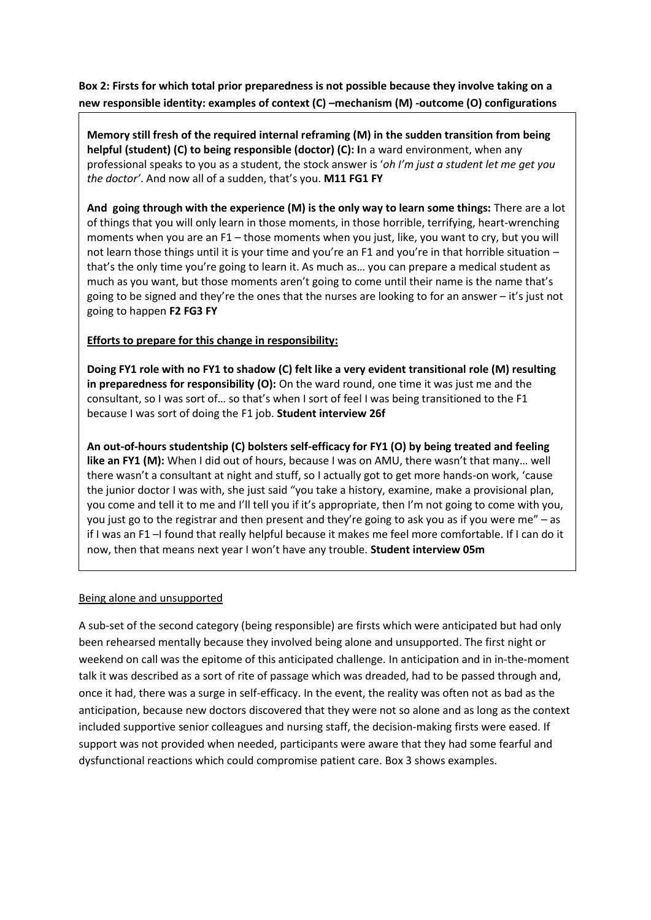**Box 2: Firsts for which total prior preparedness is not possible because they involve taking on a new responsible identity: examples of context (C) –mechanism (M) -outcome (O) configurations**

**Memory still fresh of the required internal reframing (M) in the sudden transition from being helpful (student) (C) to being responsible (doctor) (C): I**n a ward environment, when any professional speaks to you as a student, the stock answer is '*oh I'm just a student let me get you the doctor'*. And now all of a sudden, that's you. **M11 FG1 FY**

**And going through with the experience (M) is the only way to learn some things:** There are a lot of things that you will only learn in those moments, in those horrible, terrifying, heart-wrenching moments when you are an F1 – those moments when you just, like, you want to cry, but you will not learn those things until it is your time and you're an F1 and you're in that horrible situation that's the only time you're going to learn it. As much as… you can prepare a medical student as much as you want, but those moments aren't going to come until their name is the name that's going to be signed and they're the ones that the nurses are looking to for an answer – it's just not going to happen **F2 FG3 FY**

# **Efforts to prepare for this change in responsibility:**

**Doing FY1 role with no FY1 to shadow (C) felt like a very evident transitional role (M) resulting in preparedness for responsibility (O):** On the ward round, one time it was just me and the consultant, so I was sort of… so that's when I sort of feel I was being transitioned to the F1 because I was sort of doing the F1 job. **Student interview 26f**

**An out-of-hours studentship (C) bolsters self-efficacy for FY1 (O) by being treated and feeling like an FY1 (M):** When I did out of hours, because I was on AMU, there wasn't that many… well there wasn't a consultant at night and stuff, so I actually got to get more hands-on work, 'cause the junior doctor I was with, she just said "you take a history, examine, make a provisional plan, you come and tell it to me and I'll tell you if it's appropriate, then I'm not going to come with you, you just go to the registrar and then present and they're going to ask you as if you were me" – as if I was an F1 –I found that really helpful because it makes me feel more comfortable. If I can do it now, then that means next year I won't have any trouble. **Student interview 05m**

## Being alone and unsupported

A sub-set of the second category (being responsible) are firsts which were anticipated but had only been rehearsed mentally because they involved being alone and unsupported. The first night or weekend on call was the epitome of this anticipated challenge. In anticipation and in in-the-moment talk it was described as a sort of rite of passage which was dreaded, had to be passed through and, once it had, there was a surge in self-efficacy. In the event, the reality was often not as bad as the anticipation, because new doctors discovered that they were not so alone and as long as the context included supportive senior colleagues and nursing staff, the decision-making firsts were eased. If support was not provided when needed, participants were aware that they had some fearful and dysfunctional reactions which could compromise patient care. Box 3 shows examples.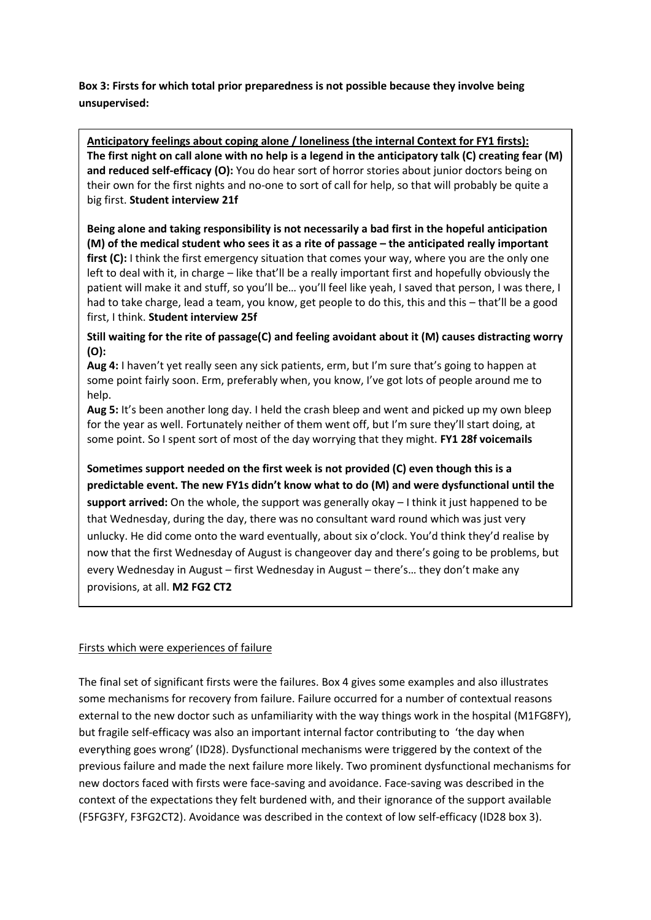**Box 3: Firsts for which total prior preparedness is not possible because they involve being unsupervised:**

**Anticipatory feelings about coping alone / loneliness (the internal Context for FY1 firsts): The first night on call alone with no help is a legend in the anticipatory talk (C) creating fear (M) and reduced self-efficacy (O):** You do hear sort of horror stories about junior doctors being on their own for the first nights and no-one to sort of call for help, so that will probably be quite a big first. **Student interview 21f**

**Being alone and taking responsibility is not necessarily a bad first in the hopeful anticipation (M) of the medical student who sees it as a rite of passage – the anticipated really important**  first (C): I think the first emergency situation that comes your way, where you are the only one left to deal with it, in charge – like that'll be a really important first and hopefully obviously the patient will make it and stuff, so you'll be… you'll feel like yeah, I saved that person, I was there, I had to take charge, lead a team, you know, get people to do this, this and this – that'll be a good first, I think. **Student interview 25f**

**Still waiting for the rite of passage(C) and feeling avoidant about it (M) causes distracting worry (O):**

**Aug 4:** I haven't yet really seen any sick patients, erm, but I'm sure that's going to happen at some point fairly soon. Erm, preferably when, you know, I've got lots of people around me to help.

**Aug 5:** It's been another long day. I held the crash bleep and went and picked up my own bleep for the year as well. Fortunately neither of them went off, but I'm sure they'll start doing, at some point. So I spent sort of most of the day worrying that they might. **FY1 28f voicemails**

**Sometimes support needed on the first week is not provided (C) even though this is a predictable event. The new FY1s didn't know what to do (M) and were dysfunctional until the support arrived:** On the whole, the support was generally okay – I think it just happened to be that Wednesday, during the day, there was no consultant ward round which was just very unlucky. He did come onto the ward eventually, about six o'clock. You'd think they'd realise by now that the first Wednesday of August is changeover day and there's going to be problems, but every Wednesday in August – first Wednesday in August – there's… they don't make any provisions, at all. **M2 FG2 CT2** 

## Firsts which were experiences of failure

The final set of significant firsts were the failures. Box 4 gives some examples and also illustrates some mechanisms for recovery from failure. Failure occurred for a number of contextual reasons external to the new doctor such as unfamiliarity with the way things work in the hospital (M1FG8FY), but fragile self-efficacy was also an important internal factor contributing to 'the day when everything goes wrong' (ID28). Dysfunctional mechanisms were triggered by the context of the previous failure and made the next failure more likely. Two prominent dysfunctional mechanisms for new doctors faced with firsts were face-saving and avoidance. Face-saving was described in the context of the expectations they felt burdened with, and their ignorance of the support available (F5FG3FY, F3FG2CT2). Avoidance was described in the context of low self-efficacy (ID28 box 3).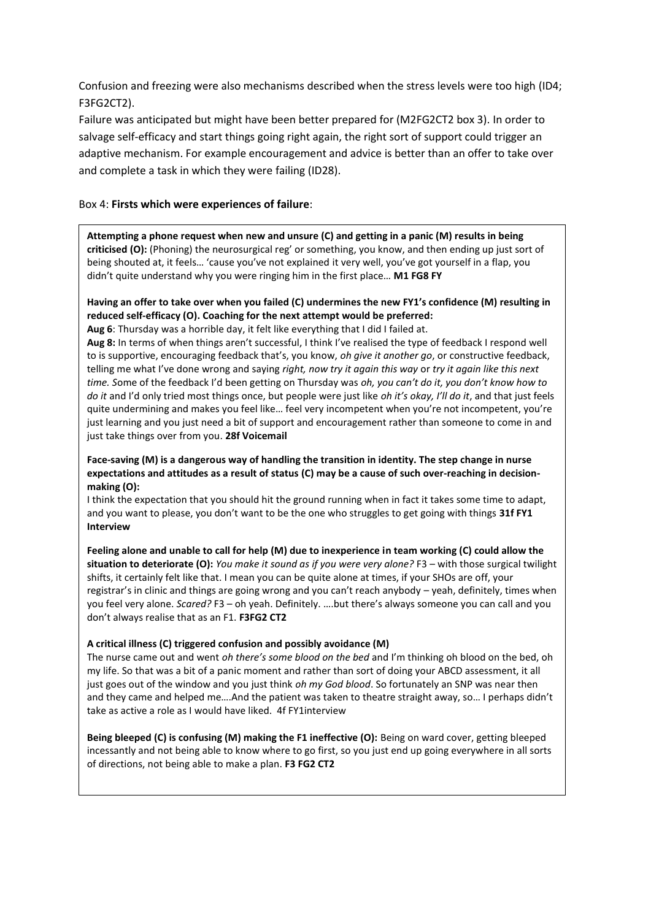Confusion and freezing were also mechanisms described when the stress levels were too high (ID4; F3FG2CT2).

Failure was anticipated but might have been better prepared for (M2FG2CT2 box 3). In order to salvage self-efficacy and start things going right again, the right sort of support could trigger an adaptive mechanism. For example encouragement and advice is better than an offer to take over and complete a task in which they were failing (ID28).

## Box 4: **Firsts which were experiences of failure**:

**Attempting a phone request when new and unsure (C) and getting in a panic (M) results in being criticised (O):** (Phoning) the neurosurgical reg' or something, you know, and then ending up just sort of being shouted at, it feels… 'cause you've not explained it very well, you've got yourself in a flap, you didn't quite understand why you were ringing him in the first place… **M1 FG8 FY**

#### **Having an offer to take over when you failed (C) undermines the new FY1's confidence (M) resulting in reduced self-efficacy (O). Coaching for the next attempt would be preferred:**

**Aug 6**: Thursday was a horrible day, it felt like everything that I did I failed at.

**Aug 8:** In terms of when things aren't successful, I think I've realised the type of feedback I respond well to is supportive, encouraging feedback that's, you know, *oh give it another go*, or constructive feedback, telling me what I've done wrong and saying *right, now try it again this way* or *try it again like this next time. S*ome of the feedback I'd been getting on Thursday was *oh, you can't do it, you don't know how to do it* and I'd only tried most things once, but people were just like *oh it's okay, I'll do it*, and that just feels quite undermining and makes you feel like… feel very incompetent when you're not incompetent, you're just learning and you just need a bit of support and encouragement rather than someone to come in and just take things over from you. **28f Voicemail**

#### **Face-saving (M) is a dangerous way of handling the transition in identity. The step change in nurse expectations and attitudes as a result of status (C) may be a cause of such over-reaching in decisionmaking (O):**

I think the expectation that you should hit the ground running when in fact it takes some time to adapt, and you want to please, you don't want to be the one who struggles to get going with things **31f FY1 Interview**

**Feeling alone and unable to call for help (M) due to inexperience in team working (C) could allow the situation to deteriorate (O):** *You make it sound as if you were very alone?* F3 – with those surgical twilight shifts, it certainly felt like that. I mean you can be quite alone at times, if your SHOs are off, your registrar's in clinic and things are going wrong and you can't reach anybody – yeah, definitely, times when you feel very alone. *Scared?* F3 – oh yeah. Definitely. ….but there's always someone you can call and you don't always realise that as an F1. **F3FG2 CT2**

#### **A critical illness (C) triggered confusion and possibly avoidance (M)**

The nurse came out and went *oh there's some blood on the bed* and I'm thinking oh blood on the bed, oh my life. So that was a bit of a panic moment and rather than sort of doing your ABCD assessment, it all just goes out of the window and you just think *oh my God blood*. So fortunately an SNP was near then and they came and helped me….And the patient was taken to theatre straight away, so… I perhaps didn't take as active a role as I would have liked. 4f FY1interview

**Being bleeped (C) is confusing (M) making the F1 ineffective (O):** Being on ward cover, getting bleeped incessantly and not being able to know where to go first, so you just end up going everywhere in all sorts of directions, not being able to make a plan. **F3 FG2 CT2**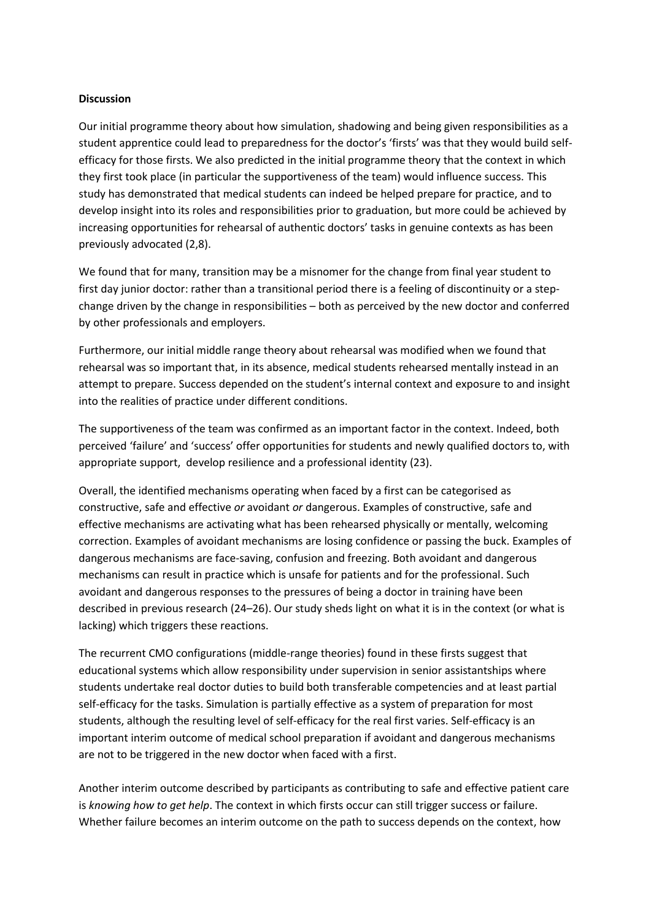## **Discussion**

Our initial programme theory about how simulation, shadowing and being given responsibilities as a student apprentice could lead to preparedness for the doctor's 'firsts' was that they would build selfefficacy for those firsts. We also predicted in the initial programme theory that the context in which they first took place (in particular the supportiveness of the team) would influence success. This study has demonstrated that medical students can indeed be helped prepare for practice, and to develop insight into its roles and responsibilities prior to graduation, but more could be achieved by increasing opportunities for rehearsal of authentic doctors' tasks in genuine contexts as has been previously advocated (2,8).

We found that for many, transition may be a misnomer for the change from final year student to first day junior doctor: rather than a transitional period there is a feeling of discontinuity or a stepchange driven by the change in responsibilities – both as perceived by the new doctor and conferred by other professionals and employers.

Furthermore, our initial middle range theory about rehearsal was modified when we found that rehearsal was so important that, in its absence, medical students rehearsed mentally instead in an attempt to prepare. Success depended on the student's internal context and exposure to and insight into the realities of practice under different conditions.

The supportiveness of the team was confirmed as an important factor in the context. Indeed, both perceived 'failure' and 'success' offer opportunities for students and newly qualified doctors to, with appropriate support, develop resilience and a professional identity (23).

Overall, the identified mechanisms operating when faced by a first can be categorised as constructive, safe and effective *or* avoidant *or* dangerous. Examples of constructive, safe and effective mechanisms are activating what has been rehearsed physically or mentally, welcoming correction. Examples of avoidant mechanisms are losing confidence or passing the buck. Examples of dangerous mechanisms are face-saving, confusion and freezing. Both avoidant and dangerous mechanisms can result in practice which is unsafe for patients and for the professional. Such avoidant and dangerous responses to the pressures of being a doctor in training have been described in previous research (24–26). Our study sheds light on what it is in the context (or what is lacking) which triggers these reactions.

The recurrent CMO configurations (middle-range theories) found in these firsts suggest that educational systems which allow responsibility under supervision in senior assistantships where students undertake real doctor duties to build both transferable competencies and at least partial self-efficacy for the tasks. Simulation is partially effective as a system of preparation for most students, although the resulting level of self-efficacy for the real first varies. Self-efficacy is an important interim outcome of medical school preparation if avoidant and dangerous mechanisms are not to be triggered in the new doctor when faced with a first.

Another interim outcome described by participants as contributing to safe and effective patient care is *knowing how to get help*. The context in which firsts occur can still trigger success or failure. Whether failure becomes an interim outcome on the path to success depends on the context, how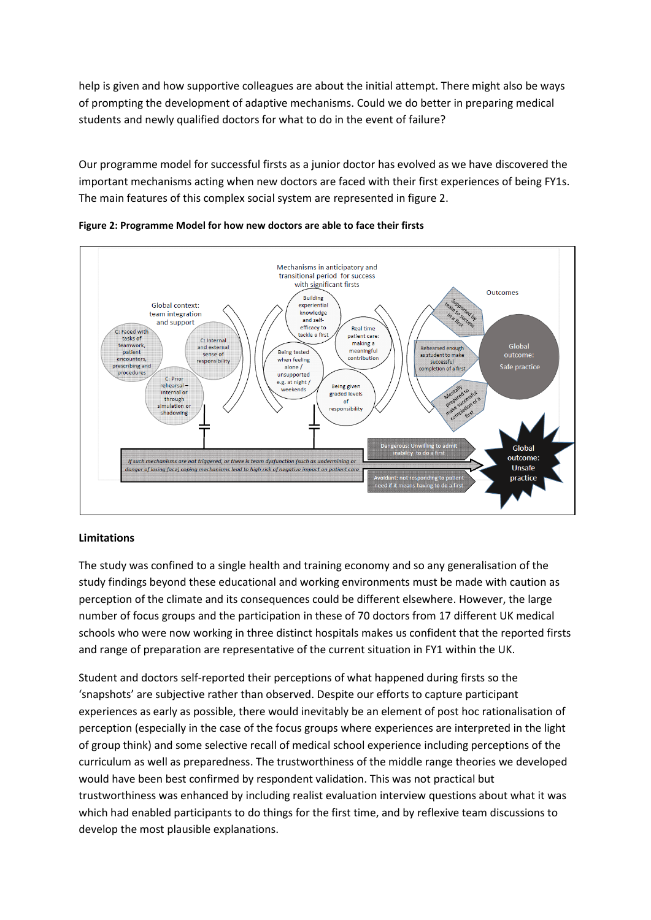help is given and how supportive colleagues are about the initial attempt. There might also be ways of prompting the development of adaptive mechanisms. Could we do better in preparing medical students and newly qualified doctors for what to do in the event of failure?

Our programme model for successful firsts as a junior doctor has evolved as we have discovered the important mechanisms acting when new doctors are faced with their first experiences of being FY1s. The main features of this complex social system are represented in figure 2.





## **Limitations**

The study was confined to a single health and training economy and so any generalisation of the study findings beyond these educational and working environments must be made with caution as perception of the climate and its consequences could be different elsewhere. However, the large number of focus groups and the participation in these of 70 doctors from 17 different UK medical schools who were now working in three distinct hospitals makes us confident that the reported firsts and range of preparation are representative of the current situation in FY1 within the UK.

Student and doctors self-reported their perceptions of what happened during firsts so the 'snapshots' are subjective rather than observed. Despite our efforts to capture participant experiences as early as possible, there would inevitably be an element of post hoc rationalisation of perception (especially in the case of the focus groups where experiences are interpreted in the light of group think) and some selective recall of medical school experience including perceptions of the curriculum as well as preparedness. The trustworthiness of the middle range theories we developed would have been best confirmed by respondent validation. This was not practical but trustworthiness was enhanced by including realist evaluation interview questions about what it was which had enabled participants to do things for the first time, and by reflexive team discussions to develop the most plausible explanations.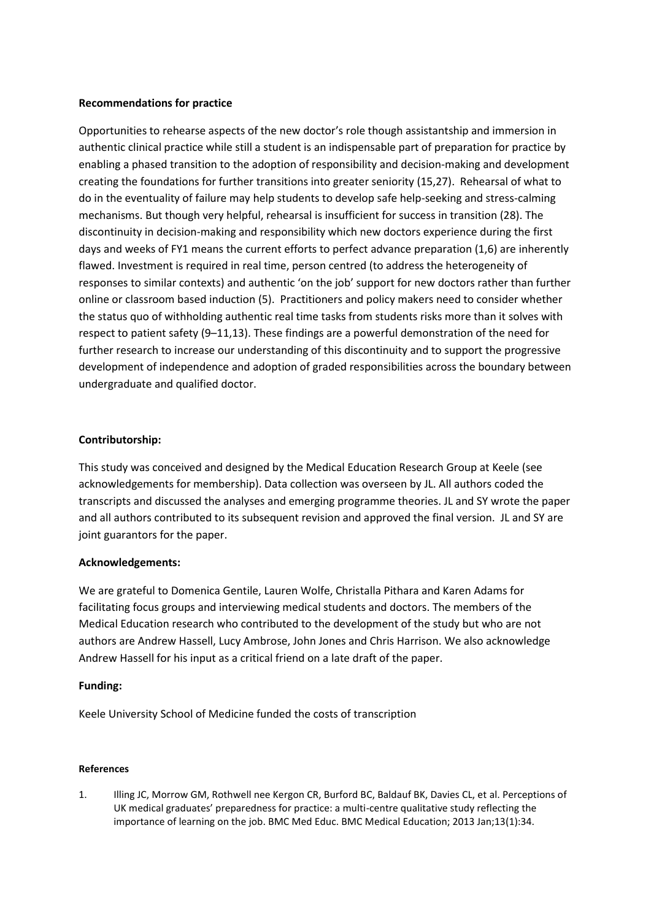## **Recommendations for practice**

Opportunities to rehearse aspects of the new doctor's role though assistantship and immersion in authentic clinical practice while still a student is an indispensable part of preparation for practice by enabling a phased transition to the adoption of responsibility and decision-making and development creating the foundations for further transitions into greater seniority (15,27). Rehearsal of what to do in the eventuality of failure may help students to develop safe help-seeking and stress-calming mechanisms. But though very helpful, rehearsal is insufficient for success in transition (28). The discontinuity in decision-making and responsibility which new doctors experience during the first days and weeks of FY1 means the current efforts to perfect advance preparation (1,6) are inherently flawed. Investment is required in real time, person centred (to address the heterogeneity of responses to similar contexts) and authentic 'on the job' support for new doctors rather than further online or classroom based induction (5). Practitioners and policy makers need to consider whether the status quo of withholding authentic real time tasks from students risks more than it solves with respect to patient safety (9–11,13). These findings are a powerful demonstration of the need for further research to increase our understanding of this discontinuity and to support the progressive development of independence and adoption of graded responsibilities across the boundary between undergraduate and qualified doctor.

# **Contributorship:**

This study was conceived and designed by the Medical Education Research Group at Keele (see acknowledgements for membership). Data collection was overseen by JL. All authors coded the transcripts and discussed the analyses and emerging programme theories. JL and SY wrote the paper and all authors contributed to its subsequent revision and approved the final version. JL and SY are joint guarantors for the paper.

## **Acknowledgements:**

We are grateful to Domenica Gentile, Lauren Wolfe, Christalla Pithara and Karen Adams for facilitating focus groups and interviewing medical students and doctors. The members of the Medical Education research who contributed to the development of the study but who are not authors are Andrew Hassell, Lucy Ambrose, John Jones and Chris Harrison. We also acknowledge Andrew Hassell for his input as a critical friend on a late draft of the paper.

## **Funding:**

Keele University School of Medicine funded the costs of transcription

## **References**

1. Illing JC, Morrow GM, Rothwell nee Kergon CR, Burford BC, Baldauf BK, Davies CL, et al. Perceptions of UK medical graduates' preparedness for practice: a multi-centre qualitative study reflecting the importance of learning on the job. BMC Med Educ. BMC Medical Education; 2013 Jan;13(1):34.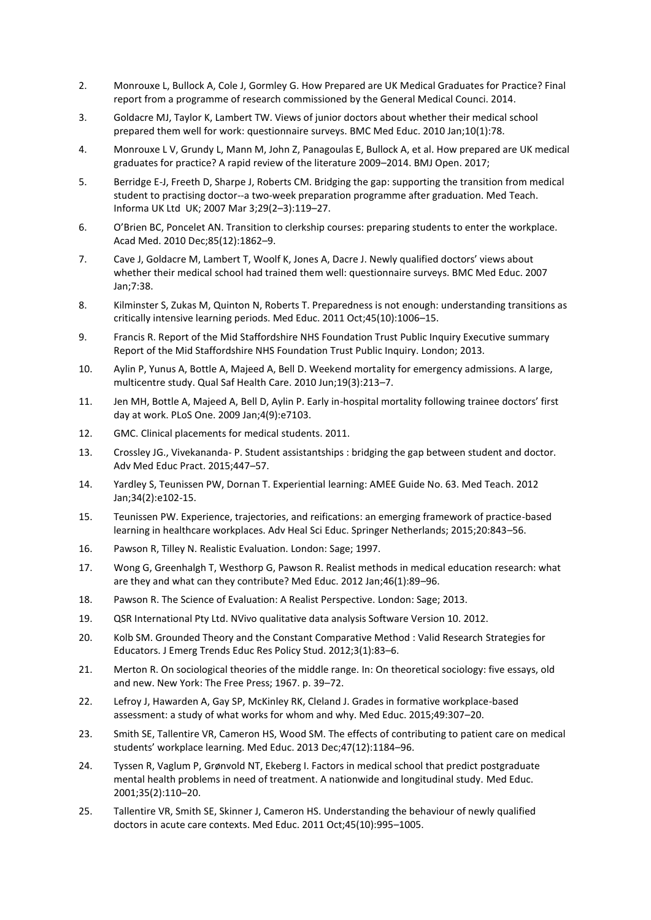- 2. Monrouxe L, Bullock A, Cole J, Gormley G. How Prepared are UK Medical Graduates for Practice? Final report from a programme of research commissioned by the General Medical Counci. 2014.
- 3. Goldacre MJ, Taylor K, Lambert TW. Views of junior doctors about whether their medical school prepared them well for work: questionnaire surveys. BMC Med Educ. 2010 Jan;10(1):78.
- 4. Monrouxe L V, Grundy L, Mann M, John Z, Panagoulas E, Bullock A, et al. How prepared are UK medical graduates for practice? A rapid review of the literature 2009–2014. BMJ Open. 2017;
- 5. Berridge E-J, Freeth D, Sharpe J, Roberts CM. Bridging the gap: supporting the transition from medical student to practising doctor--a two-week preparation programme after graduation. Med Teach. Informa UK Ltd UK; 2007 Mar 3;29(2–3):119–27.
- 6. O'Brien BC, Poncelet AN. Transition to clerkship courses: preparing students to enter the workplace. Acad Med. 2010 Dec;85(12):1862–9.
- 7. Cave J, Goldacre M, Lambert T, Woolf K, Jones A, Dacre J. Newly qualified doctors' views about whether their medical school had trained them well: questionnaire surveys. BMC Med Educ. 2007 Jan;7:38.
- 8. Kilminster S, Zukas M, Quinton N, Roberts T. Preparedness is not enough: understanding transitions as critically intensive learning periods. Med Educ. 2011 Oct;45(10):1006–15.
- 9. Francis R. Report of the Mid Staffordshire NHS Foundation Trust Public Inquiry Executive summary Report of the Mid Staffordshire NHS Foundation Trust Public Inquiry. London; 2013.
- 10. Aylin P, Yunus A, Bottle A, Majeed A, Bell D. Weekend mortality for emergency admissions. A large, multicentre study. Qual Saf Health Care. 2010 Jun;19(3):213–7.
- 11. Jen MH, Bottle A, Majeed A, Bell D, Aylin P. Early in-hospital mortality following trainee doctors' first day at work. PLoS One. 2009 Jan;4(9):e7103.
- 12. GMC. Clinical placements for medical students. 2011.
- 13. Crossley JG., Vivekananda- P. Student assistantships : bridging the gap between student and doctor. Adv Med Educ Pract. 2015;447–57.
- 14. Yardley S, Teunissen PW, Dornan T. Experiential learning: AMEE Guide No. 63. Med Teach. 2012 Jan;34(2):e102-15.
- 15. Teunissen PW. Experience, trajectories, and reifications: an emerging framework of practice-based learning in healthcare workplaces. Adv Heal Sci Educ. Springer Netherlands; 2015;20:843–56.
- 16. Pawson R, Tilley N. Realistic Evaluation. London: Sage; 1997.
- 17. Wong G, Greenhalgh T, Westhorp G, Pawson R. Realist methods in medical education research: what are they and what can they contribute? Med Educ. 2012 Jan;46(1):89–96.
- 18. Pawson R. The Science of Evaluation: A Realist Perspective. London: Sage; 2013.
- 19. QSR International Pty Ltd. NVivo qualitative data analysis Software Version 10. 2012.
- 20. Kolb SM. Grounded Theory and the Constant Comparative Method : Valid Research Strategies for Educators. J Emerg Trends Educ Res Policy Stud. 2012;3(1):83–6.
- 21. Merton R. On sociological theories of the middle range. In: On theoretical sociology: five essays, old and new. New York: The Free Press; 1967. p. 39–72.
- 22. Lefroy J, Hawarden A, Gay SP, McKinley RK, Cleland J. Grades in formative workplace-based assessment: a study of what works for whom and why. Med Educ. 2015;49:307–20.
- 23. Smith SE, Tallentire VR, Cameron HS, Wood SM. The effects of contributing to patient care on medical students' workplace learning. Med Educ. 2013 Dec;47(12):1184–96.
- 24. Tyssen R, Vaglum P, Grønvold NT, Ekeberg I. Factors in medical school that predict postgraduate mental health problems in need of treatment. A nationwide and longitudinal study. Med Educ. 2001;35(2):110–20.
- 25. Tallentire VR, Smith SE, Skinner J, Cameron HS. Understanding the behaviour of newly qualified doctors in acute care contexts. Med Educ. 2011 Oct;45(10):995–1005.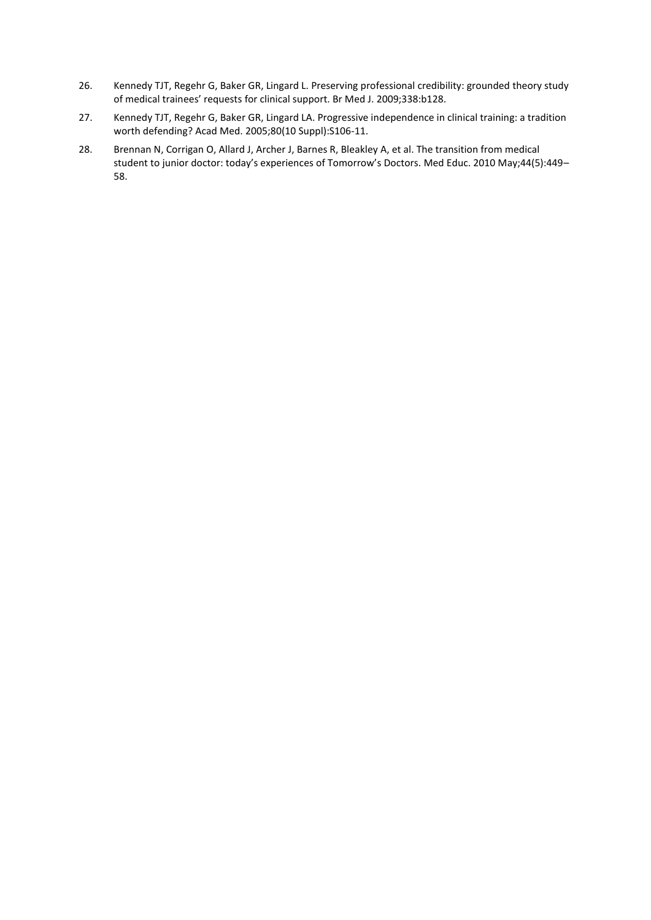- 26. Kennedy TJT, Regehr G, Baker GR, Lingard L. Preserving professional credibility: grounded theory study of medical trainees' requests for clinical support. Br Med J. 2009;338:b128.
- 27. Kennedy TJT, Regehr G, Baker GR, Lingard LA. Progressive independence in clinical training: a tradition worth defending? Acad Med. 2005;80(10 Suppl):S106-11.
- 28. Brennan N, Corrigan O, Allard J, Archer J, Barnes R, Bleakley A, et al. The transition from medical student to junior doctor: today's experiences of Tomorrow's Doctors. Med Educ. 2010 May;44(5):449– 58.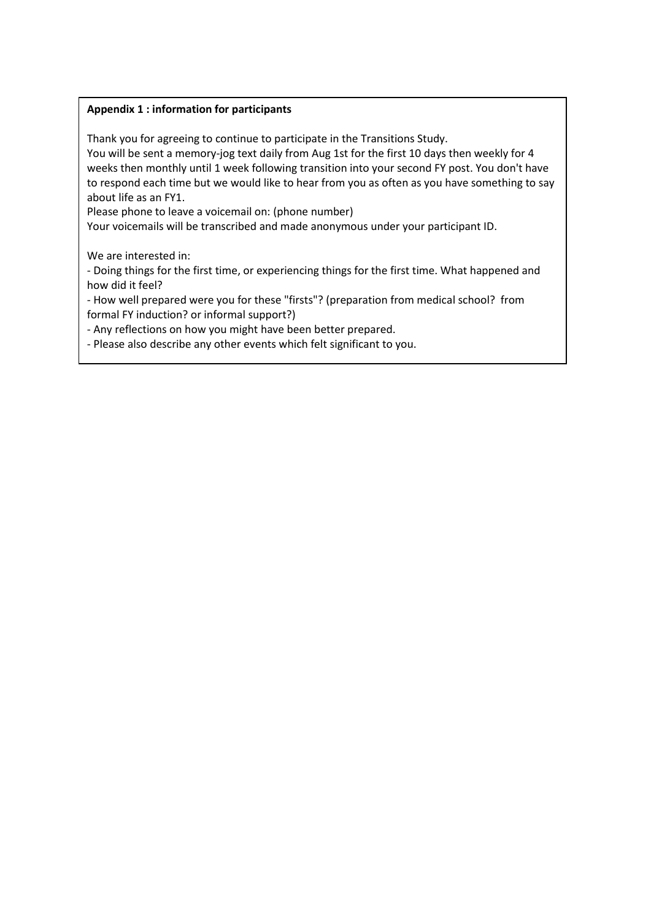# **Appendix 1 : information for participants**

Thank you for agreeing to continue to participate in the Transitions Study.

You will be sent a memory-jog text daily from Aug 1st for the first 10 days then weekly for 4 weeks then monthly until 1 week following transition into your second FY post. You don't have to respond each time but we would like to hear from you as often as you have something to say about life as an FY1.

Please phone to leave a voicemail on: (phone number)

Your voicemails will be transcribed and made anonymous under your participant ID.

We are interested in:

- Doing things for the first time, or experiencing things for the first time. What happened and how did it feel?

- How well prepared were you for these "firsts"? (preparation from medical school? from formal FY induction? or informal support?)

- Any reflections on how you might have been better prepared.

- Please also describe any other events which felt significant to you.